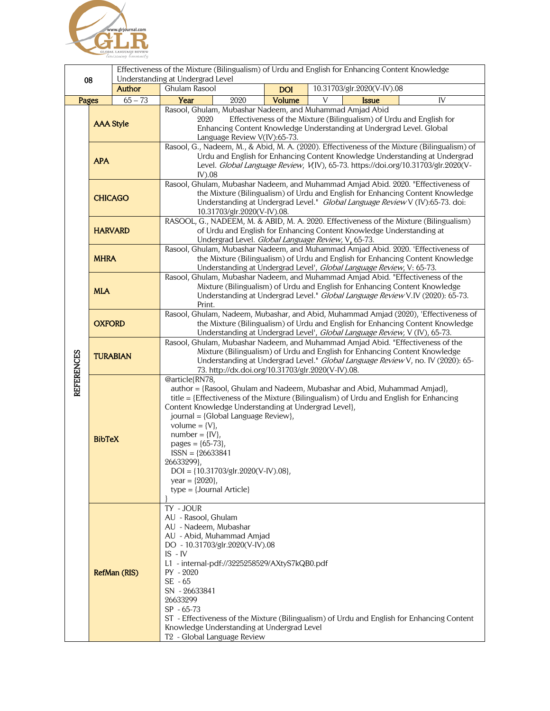

| 08<br><b>Author</b> |                  |           | Effectiveness of the Mixture (Bilingualism) of Urdu and English for Enhancing Content Knowledge<br>Understanding at Undergrad Level                                                                                                                                                                                                                       |            |                                                                                                                                                                                                                                                     |  |
|---------------------|------------------|-----------|-----------------------------------------------------------------------------------------------------------------------------------------------------------------------------------------------------------------------------------------------------------------------------------------------------------------------------------------------------------|------------|-----------------------------------------------------------------------------------------------------------------------------------------------------------------------------------------------------------------------------------------------------|--|
|                     |                  |           | Ghulam Rasool                                                                                                                                                                                                                                                                                                                                             | <b>DOI</b> | 10.31703/glr.2020(V-IV).08                                                                                                                                                                                                                          |  |
| Pages               |                  | $65 - 73$ | Year<br>2020                                                                                                                                                                                                                                                                                                                                              | Volume     | $\overline{V}$<br>$\overline{N}$<br><b>Issue</b>                                                                                                                                                                                                    |  |
|                     | <b>AAA Style</b> |           | Rasool, Ghulam, Mubashar Nadeem, and Muhammad Amjad Abid<br>Effectiveness of the Mixture (Bilingualism) of Urdu and English for<br>2020<br>Enhancing Content Knowledge Understanding at Undergrad Level. Global<br>Language Review V(IV):65-73.<br>Rasool, G., Nadeem, M., & Abid, M. A. (2020). Effectiveness of the Mixture (Bilingualism) of           |            |                                                                                                                                                                                                                                                     |  |
| <b>REFERENCES</b>   | <b>APA</b>       |           | Urdu and English for Enhancing Content Knowledge Understanding at Undergrad<br>Level. Global Language Review, V(IV), 65-73. https://doi.org/10.31703/glr.2020(V-<br>$IV$ ).08                                                                                                                                                                             |            |                                                                                                                                                                                                                                                     |  |
|                     | <b>CHICAGO</b>   |           | 10.31703/glr.2020(V-IV).08.                                                                                                                                                                                                                                                                                                                               |            | Rasool, Ghulam, Mubashar Nadeem, and Muhammad Amjad Abid. 2020. "Effectiveness of<br>the Mixture (Bilingualism) of Urdu and English for Enhancing Content Knowledge<br>Understanding at Undergrad Level." Global Language Review V (IV):65-73. doi: |  |
|                     | <b>HARVARD</b>   |           | Undergrad Level. Global Language Review, V, 65-73.                                                                                                                                                                                                                                                                                                        |            | RASOOL, G., NADEEM, M. & ABID, M. A. 2020. Effectiveness of the Mixture (Bilingualism)<br>of Urdu and English for Enhancing Content Knowledge Understanding at                                                                                      |  |
|                     | <b>MHRA</b>      |           |                                                                                                                                                                                                                                                                                                                                                           |            | Rasool, Ghulam, Mubashar Nadeem, and Muhammad Amjad Abid. 2020. 'Effectiveness of<br>the Mixture (Bilingualism) of Urdu and English for Enhancing Content Knowledge<br>Understanding at Undergrad Level', Global Language Review, V: 65-73.         |  |
|                     | <b>MLA</b>       |           | Print.                                                                                                                                                                                                                                                                                                                                                    |            | Rasool, Ghulam, Mubashar Nadeem, and Muhammad Amjad Abid. "Effectiveness of the<br>Mixture (Bilingualism) of Urdu and English for Enhancing Content Knowledge<br>Understanding at Undergrad Level." Global Language Review V.IV (2020): 65-73.      |  |
|                     | <b>OXFORD</b>    |           |                                                                                                                                                                                                                                                                                                                                                           |            | Rasool, Ghulam, Nadeem, Mubashar, and Abid, Muhammad Amjad (2020), 'Effectiveness of<br>the Mixture (Bilingualism) of Urdu and English for Enhancing Content Knowledge<br>Understanding at Undergrad Level', Global Language Review, V (IV), 65-73. |  |
|                     | <b>TURABIAN</b>  |           | 73. http://dx.doi.org/10.31703/glr.2020(V-IV).08.                                                                                                                                                                                                                                                                                                         |            | Rasool, Ghulam, Mubashar Nadeem, and Muhammad Amjad Abid. "Effectiveness of the<br>Mixture (Bilingualism) of Urdu and English for Enhancing Content Knowledge<br>Understanding at Undergrad Level." Global Language Review V, no. IV (2020): 65-    |  |
|                     | <b>BibTeX</b>    |           | @article{RN78,<br>Content Knowledge Understanding at Undergrad Level},<br>journal = {Global Language Review},<br>volume = $\{V\}$ ,<br>$number = \{IV\},\$<br>pages = ${65-73}$ ,<br>$ISSN = {26633841}$<br>26633299},<br>$DOI = \{10.31703/glr.2020(V-IV).08\},$<br>year = ${2020}$ ,<br>$type = {Journal Article}$                                      |            | author = {Rasool, Ghulam and Nadeem, Mubashar and Abid, Muhammad Amjad},<br>title = {Effectiveness of the Mixture (Bilingualism) of Urdu and English for Enhancing                                                                                  |  |
|                     | RefMan (RIS)     |           | TY - JOUR<br>AU - Rasool, Ghulam<br>AU - Nadeem, Mubashar<br>AU - Abid, Muhammad Amjad<br>DO - 10.31703/glr.2020(V-IV).08<br>$IS$ - $IV$<br>L1 - internal-pdf://3225258529/AXtyS7kQB0.pdf<br>$PY - 2020$<br>SE - 65<br>SN - 26633841<br>26633299<br>$SP - 65-73$<br>Knowledge Understanding at Undergrad Level<br>T <sub>2</sub> - Global Language Review |            | ST - Effectiveness of the Mixture (Bilingualism) of Urdu and English for Enhancing Content                                                                                                                                                          |  |